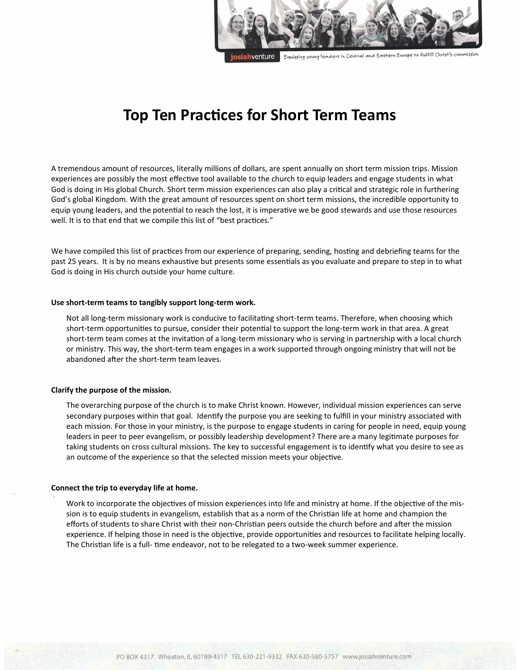

**Top Ten Practices for Short Term Teams**

A tremendous amount of resources, literally millions of dollars, are spent annually on short term mission trips. Mission experiences are possibly the most effective tool available to the church to equip leaders and engage students in what God is doing in His global Church. Short term mission experiences can also play a critical and strategic role in furthering God's global Kingdom. With the great amount of resources spent on short term missions, the incredible opportunity to equip young leaders, and the potential to reach the lost, it is imperative we be good stewards and use those resources well. It is to that end that we compile this list of "best practices."

We have compiled this list of practices from our experience of preparing, sending, hosting and debriefing teams for the past 25 years. It is by no means exhaustive but presents some essentials as you evaluate and prepare to step in to what God is doing in His church outside your home culture.

#### **Use short-term teams to tangibly support long-term work.**

Not all long-term missionary work is conducive to facilitating short-term teams. Therefore, when choosing which short-term opportunities to pursue, consider their potential to support the long-term work in that area. A great short-term team comes at the invitation of a long-term missionary who is serving in partnership with a local church or ministry. This way, the short-term team engages in a work supported through ongoing ministry that will not be abandoned after the short-term team leaves.

#### **Clarify the purpose of the mission.**

The overarching purpose of the church is to make Christ known. However, individual mission experiences can serve secondary purposes within that goal. Identify the purpose you are seeking to fulfill in your ministry associated with each mission. For those in your ministry, is the purpose to engage students in caring for people in need, equip young leaders in peer to peer evangelism, or possibly leadership development? There are a many legitimate purposes for taking students on cross cultural missions. The key to successful engagement is to identify what you desire to see as an outcome of the experience so that the selected mission meets your objective.

#### **Connect the trip to everyday life at home.**

Work to incorporate the objectives of mission experiences into life and ministry at home. If the objective of the mission is to equip students in evangelism, establish that as a norm of the Christian life at home and champion the efforts of students to share Christ with their non-Christian peers outside the church before and after the mission experience. If helping those in need is the objective, provide opportunities and resources to facilitate helping locally. The Christian life is a full- time endeavor, not to be relegated to a two-week summer experience.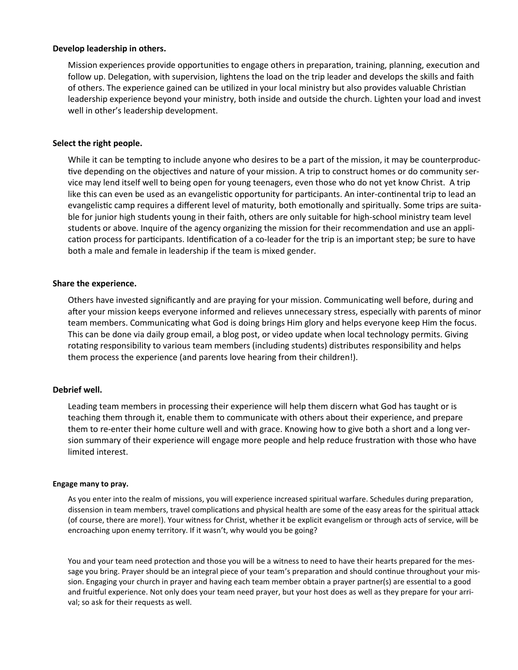## **Develop leadership in others.**

Mission experiences provide opportunities to engage others in preparation, training, planning, execution and follow up. Delegation, with supervision, lightens the load on the trip leader and develops the skills and faith of others. The experience gained can be utilized in your local ministry but also provides valuable Christian leadership experience beyond your ministry, both inside and outside the church. Lighten your load and invest well in other's leadership development.

## **Select the right people.**

While it can be tempting to include anyone who desires to be a part of the mission, it may be counterproductive depending on the objectives and nature of your mission. A trip to construct homes or do community service may lend itself well to being open for young teenagers, even those who do not yet know Christ. A trip like this can even be used as an evangelistic opportunity for participants. An inter-continental trip to lead an evangelistic camp requires a different level of maturity, both emotionally and spiritually. Some trips are suitable for junior high students young in their faith, others are only suitable for high-school ministry team level students or above. Inquire of the agency organizing the mission for their recommendation and use an application process for participants. Identification of a co-leader for the trip is an important step; be sure to have both a male and female in leadership if the team is mixed gender.

## **Share the experience.**

Others have invested significantly and are praying for your mission. Communicating well before, during and after your mission keeps everyone informed and relieves unnecessary stress, especially with parents of minor team members. Communicating what God is doing brings Him glory and helps everyone keep Him the focus. This can be done via daily group email, a blog post, or video update when local technology permits. Giving rotating responsibility to various team members (including students) distributes responsibility and helps them process the experience (and parents love hearing from their children!).

### **Debrief well.**

Leading team members in processing their experience will help them discern what God has taught or is teaching them through it, enable them to communicate with others about their experience, and prepare them to re-enter their home culture well and with grace. Knowing how to give both a short and a long version summary of their experience will engage more people and help reduce frustration with those who have limited interest.

### **Engage many to pray.**

As you enter into the realm of missions, you will experience increased spiritual warfare. Schedules during preparation, dissension in team members, travel complications and physical health are some of the easy areas for the spiritual attack (of course, there are more!). Your witness for Christ, whether it be explicit evangelism or through acts of service, will be encroaching upon enemy territory. If it wasn't, why would you be going?

You and your team need protection and those you will be a witness to need to have their hearts prepared for the message you bring. Prayer should be an integral piece of your team's preparation and should continue throughout your mission. Engaging your church in prayer and having each team member obtain a prayer partner(s) are essential to a good and fruitful experience. Not only does your team need prayer, but your host does as well as they prepare for your arrival; so ask for their requests as well.